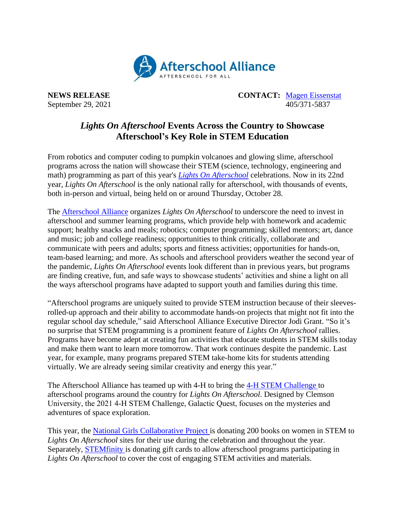

**NEWS RELEASE CONTACT:** [Magen Eissenstat](mailto:magen@prsolutionsdc.com) September 29, 2021 405/371-5837

## *Lights On Afterschool* **Events Across the Country to Showcase Afterschool's Key Role in STEM Education**

From robotics and computer coding to pumpkin volcanoes and glowing slime, afterschool programs across the nation will showcase their STEM (science, technology, engineering and math) programming as part of this year's *[Lights On Afterschool](http://www.afterschoolalliance.org/loa.cfm)* celebrations. Now in its 22nd year, *Lights On Afterschool* is the only national rally for afterschool, with thousands of events, both in-person and virtual, being held on or around Thursday, October 28.

The [Afterschool Alliance](http://www.afterschoolalliance.org/) organizes *Lights On Afterschool* to underscore the need to invest in afterschool and summer learning programs, which provide help with homework and academic support; healthy snacks and meals; robotics; computer programming; skilled mentors; art, dance and music; job and college readiness; opportunities to think critically, collaborate and communicate with peers and adults; sports and fitness activities; opportunities for hands-on, team-based learning; and more. As schools and afterschool providers weather the second year of the pandemic, *Lights On Afterschool* events look different than in previous years, but programs are finding creative, fun, and safe ways to showcase students' activities and shine a light on all the ways afterschool programs have adapted to support youth and families during this time.

"Afterschool programs are uniquely suited to provide STEM instruction because of their sleevesrolled-up approach and their ability to accommodate hands-on projects that might not fit into the regular school day schedule," said Afterschool Alliance Executive Director Jodi Grant. "So it's no surprise that STEM programming is a prominent feature of *Lights On Afterschool* rallies. Programs have become adept at creating fun activities that educate students in STEM skills today and make them want to learn more tomorrow. That work continues despite the pandemic. Last year, for example, many programs prepared STEM take-home kits for students attending virtually. We are already seeing similar creativity and energy this year."

The Afterschool Alliance has teamed up with 4-H to bring the [4-H STEM Challenge t](https://4-h.org/parents/4-h-stem-challenge/)o afterschool programs around the country for *Lights On Afterschool*. Designed by Clemson University, the 2021 4‑H STEM Challenge, Galactic Quest, focuses on the mysteries and adventures of space exploration.

This year, the [National Girls Collaborative Project i](https://ngcproject.org/)s donating 200 books on women in STEM to *Lights On Afterschool* sites for their use during the celebration and throughout the year. Separately, [STEMfinity](https://stemfinity.com/) is donating gift cards to allow afterschool programs participating in *Lights On Afterschool* to cover the cost of engaging STEM activities and materials.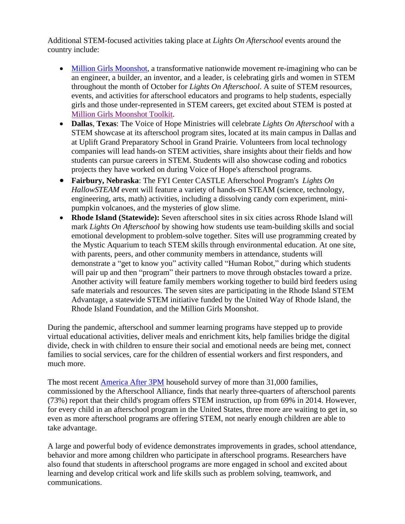Additional STEM-focused activities taking place at *Lights On Afterschool* events around the country include:

- [Million Girls Moonshot,](http://www.milliongirlsmoonshot.org/) a transformative nationwide movement re-imagining who can be an engineer, a builder, an inventor, and a leader, is celebrating girls and women in STEM throughout the month of October for *Lights On Afterschool*. A suite of STEM resources, events, and activities for afterschool educators and programs to help students, especially girls and those under-represented in STEM careers, get excited about STEM is posted at [Million Girls Moonshot Toolkit.](https://stemnext.org/engineering-mindset-toolkit/)
- **Dallas**, **Texas**: The Voice of Hope Ministries will celebrate *Lights On Afterschool* with a STEM showcase at its afterschool program sites, located at its main campus in Dallas and at Uplift Grand Preparatory School in Grand Prairie. Volunteers from local technology companies will lead hands-on STEM activities, share insights about their fields and how students can pursue careers in STEM. Students will also showcase coding and robotics projects they have worked on during Voice of Hope's afterschool programs.
- **Fairbury, Nebraska**: The FYI Center CASTLE Afterschool Program's *Lights On HallowSTEAM* event will feature a variety of hands-on STEAM (science, technology, engineering, arts, math) activities, including a dissolving candy corn experiment, minipumpkin volcanoes, and the mysteries of glow slime.
- **Rhode Island (Statewide):** Seven afterschool sites in six cities across Rhode Island will mark *Lights On Afterschool* by showing how students use team-building skills and social emotional development to problem-solve together. Sites will use programming created by the Mystic Aquarium to teach STEM skills through environmental education. At one site, with parents, peers, and other community members in attendance, students will demonstrate a "get to know you" activity called "Human Robot," during which students will pair up and then "program" their partners to move through obstacles toward a prize. Another activity will feature family members working together to build bird feeders using safe materials and resources. The seven sites are participating in the Rhode Island STEM Advantage, a statewide STEM initiative funded by the United Way of Rhode Island, the Rhode Island Foundation, and the Million Girls Moonshot.

During the pandemic, afterschool and summer learning programs have stepped up to provide virtual educational activities, deliver meals and enrichment kits, help families bridge the digital divide, check in with children to ensure their social and emotional needs are being met, connect families to social services, care for the children of essential workers and first responders, and much more.

The most recent [America After 3PM](http://www.afterschoolalliance.org/AA3PM/) household survey of more than 31,000 families, commissioned by the Afterschool Alliance, finds that nearly three-quarters of afterschool parents (73%) report that their child's program offers STEM instruction, up from 69% in 2014. However, for every child in an afterschool program in the United States, three more are waiting to get in, so even as more afterschool programs are offering STEM, not nearly enough children are able to take advantage.

A large and powerful body of evidence demonstrates improvements in grades, school attendance, behavior and more among children who participate in afterschool programs. Researchers have also found that students in afterschool programs are more engaged in school and excited about learning and develop critical work and life skills such as problem solving, teamwork, and communications.